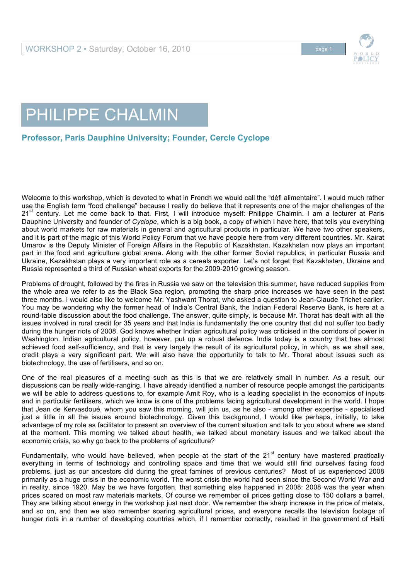

## PHILIPPE CHALMIN

## **Professor, Paris Dauphine University; Founder, Cercle Cyclope**

Welcome to this workshop, which is devoted to what in French we would call the "défi alimentaire". I would much rather use the English term "food challenge" because I really do believe that it represents one of the major challenges of the 21<sup>st</sup> century. Let me come back to that. First, I will introduce myself: Philippe Chalmin. I am a lecturer at Paris Dauphine University and founder of *Cyclope*, which is a big book, a copy of which I have here, that tells you everything about world markets for raw materials in general and agricultural products in particular. We have two other speakers, and it is part of the magic of this World Policy Forum that we have people here from very different countries. Mr. Kairat Umarov is the Deputy Minister of Foreign Affairs in the Republic of Kazakhstan. Kazakhstan now plays an important part in the food and agriculture global arena. Along with the other former Soviet republics, in particular Russia and Ukraine, Kazakhstan plays a very important role as a cereals exporter. Let's not forget that Kazakhstan, Ukraine and Russia represented a third of Russian wheat exports for the 2009-2010 growing season.

Problems of drought, followed by the fires in Russia we saw on the television this summer, have reduced supplies from the whole area we refer to as the Black Sea region, prompting the sharp price increases we have seen in the past three months. I would also like to welcome Mr. Yashwant Thorat, who asked a question to Jean-Claude Trichet earlier. You may be wondering why the former head of India's Central Bank, the Indian Federal Reserve Bank, is here at a round-table discussion about the food challenge. The answer, quite simply, is because Mr. Thorat has dealt with all the issues involved in rural credit for 35 years and that India is fundamentally the one country that did not suffer too badly during the hunger riots of 2008. God knows whether Indian agricultural policy was criticised in the corridors of power in Washington. Indian agricultural policy, however, put up a robust defence. India today is a country that has almost achieved food self-sufficiency, and that is very largely the result of its agricultural policy, in which, as we shall see, credit plays a very significant part. We will also have the opportunity to talk to Mr. Thorat about issues such as biotechnology, the use of fertilisers, and so on.

One of the real pleasures of a meeting such as this is that we are relatively small in number. As a result, our discussions can be really wide-ranging. I have already identified a number of resource people amongst the participants we will be able to address questions to, for example Amit Roy, who is a leading specialist in the economics of inputs and in particular fertilisers, which we know is one of the problems facing agricultural development in the world. I hope that Jean de Kervasdoué, whom you saw this morning, will join us, as he also - among other expertise - specialised just a little in all the issues around biotechnology. Given this background, I would like perhaps, initially, to take advantage of my role as facilitator to present an overview of the current situation and talk to you about where we stand at the moment. This morning we talked about health, we talked about monetary issues and we talked about the economic crisis, so why go back to the problems of agriculture?

Fundamentally, who would have believed, when people at the start of the  $21<sup>st</sup>$  century have mastered practically everything in terms of technology and controlling space and time that we would still find ourselves facing food problems, just as our ancestors did during the great famines of previous centuries? Most of us experienced 2008 primarily as a huge crisis in the economic world. The worst crisis the world had seen since the Second World War and in reality, since 1920. May be we have forgotten, that something else happened in 2008: 2008 was the year when prices soared on most raw materials markets. Of course we remember oil prices getting close to 150 dollars a barrel. They are talking about energy in the workshop just next door. We remember the sharp increase in the price of metals, and so on, and then we also remember soaring agricultural prices, and everyone recalls the television footage of hunger riots in a number of developing countries which, if I remember correctly, resulted in the government of Haiti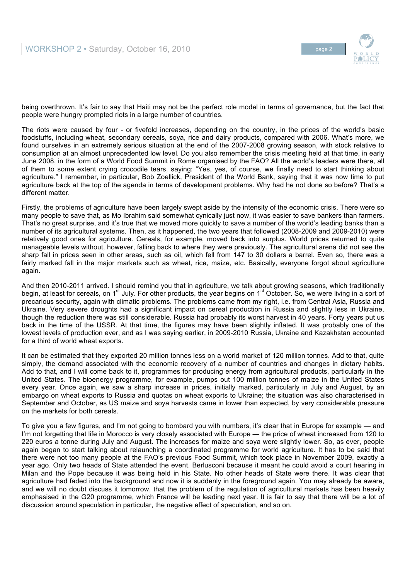



being overthrown. It's fair to say that Haiti may not be the perfect role model in terms of governance, but the fact that people were hungry prompted riots in a large number of countries.

The riots were caused by four - or fivefold increases, depending on the country, in the prices of the world's basic foodstuffs, including wheat, secondary cereals, soya, rice and dairy products, compared with 2006. What's more, we found ourselves in an extremely serious situation at the end of the 2007-2008 growing season, with stock relative to consumption at an almost unprecedented low level. Do you also remember the crisis meeting held at that time, in early June 2008, in the form of a World Food Summit in Rome organised by the FAO? All the world's leaders were there, all of them to some extent crying crocodile tears, saying: "Yes, yes, of course, we finally need to start thinking about agriculture." I remember, in particular, Bob Zoellick, President of the World Bank, saying that it was now time to put agriculture back at the top of the agenda in terms of development problems. Why had he not done so before? That's a different matter.

Firstly, the problems of agriculture have been largely swept aside by the intensity of the economic crisis. There were so many people to save that, as Mo Ibrahim said somewhat cynically just now, it was easier to save bankers than farmers. That's no great surprise, and it's true that we moved more quickly to save a number of the world's leading banks than a number of its agricultural systems. Then, as it happened, the two years that followed (2008-2009 and 2009-2010) were relatively good ones for agriculture. Cereals, for example, moved back into surplus. World prices returned to quite manageable levels without, however, falling back to where they were previously. The agricultural arena did not see the sharp fall in prices seen in other areas, such as oil, which fell from 147 to 30 dollars a barrel. Even so, there was a fairly marked fall in the major markets such as wheat, rice, maize, etc. Basically, everyone forgot about agriculture again.

And then 2010-2011 arrived. I should remind you that in agriculture, we talk about growing seasons, which traditionally begin, at least for cereals, on 1<sup>st</sup> July. For other products, the year begins on 1<sup>st</sup> October. So, we were living in a sort of precarious security, again with climatic problems. The problems came from my right, i.e. from Central Asia, Russia and Ukraine. Very severe droughts had a significant impact on cereal production in Russia and slightly less in Ukraine, though the reduction there was still considerable. Russia had probably its worst harvest in 40 years. Forty years put us back in the time of the USSR. At that time, the figures may have been slightly inflated. It was probably one of the lowest levels of production ever, and as I was saying earlier, in 2009-2010 Russia, Ukraine and Kazakhstan accounted for a third of world wheat exports.

It can be estimated that they exported 20 million tonnes less on a world market of 120 million tonnes. Add to that, quite simply, the demand associated with the economic recovery of a number of countries and changes in dietary habits. Add to that, and I will come back to it, programmes for producing energy from agricultural products, particularly in the United States. The bioenergy programme, for example, pumps out 100 million tonnes of maize in the United States every year. Once again, we saw a sharp increase in prices, initially marked, particularly in July and August, by an embargo on wheat exports to Russia and quotas on wheat exports to Ukraine; the situation was also characterised in September and October, as US maize and soya harvests came in lower than expected, by very considerable pressure on the markets for both cereals.

To give you a few figures, and I'm not going to bombard you with numbers, it's clear that in Europe for example — and I'm not forgetting that life in Morocco is very closely associated with Europe — the price of wheat increased from 120 to 220 euros a tonne during July and August. The increases for maize and soya were slightly lower. So, as ever, people again began to start talking about relaunching a coordinated programme for world agriculture. It has to be said that there were not too many people at the FAO's previous Food Summit, which took place in November 2009, exactly a year ago. Only two heads of State attended the event. Berlusconi because it meant he could avoid a court hearing in Milan and the Pope because it was being held in his State. No other heads of State were there. It was clear that agriculture had faded into the background and now it is suddenly in the foreground again. You may already be aware, and we will no doubt discuss it tomorrow, that the problem of the regulation of agricultural markets has been heavily emphasised in the G20 programme, which France will be leading next year. It is fair to say that there will be a lot of discussion around speculation in particular, the negative effect of speculation, and so on.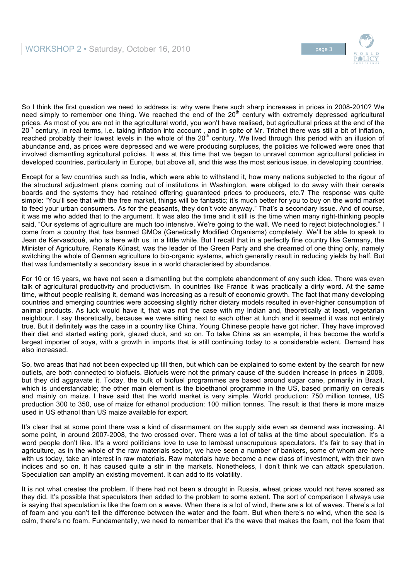

So I think the first question we need to address is: why were there such sharp increases in prices in 2008-2010? We need simply to remember one thing. We reached the end of the 20<sup>th</sup> century with extremely depressed agricultural prices. As most of you are not in the agricultural world, you won't have realised, but agricultural prices at the end of the 20<sup>th</sup> century, in real terms, i.e. taking inflation into account, and in spite of Mr. Trichet there was still a bit of inflation, reached probably their lowest levels in the whole of the  $20<sup>th</sup>$  century. We lived through this period with an illusion of abundance and, as prices were depressed and we were producing surpluses, the policies we followed were ones that involved dismantling agricultural policies. It was at this time that we began to unravel common agricultural policies in developed countries, particularly in Europe, but above all, and this was the most serious issue, in developing countries.

Except for a few countries such as India, which were able to withstand it, how many nations subjected to the rigour of the structural adjustment plans coming out of institutions in Washington, were obliged to do away with their cereals boards and the systems they had retained offering guaranteed prices to producers, etc.? The response was quite simple: "You'll see that with the free market, things will be fantastic; it's much better for you to buy on the world market to feed your urban consumers. As for the peasants, they don't vote anyway." That's a secondary issue. And of course, it was me who added that to the argument. It was also the time and it still is the time when many right-thinking people said, "Our systems of agriculture are much too intensive. We're going to the wall. We need to reject biotechnologies." I come from a country that has banned GMOs (Genetically Modified Organisms) completely. We'll be able to speak to Jean de Kervasdoué, who is here with us, in a little while. But I recall that in a perfectly fine country like Germany, the Minister of Agriculture, Renate Künast, was the leader of the Green Party and she dreamed of one thing only, namely switching the whole of German agriculture to bio-organic systems, which generally result in reducing yields by half. But that was fundamentally a secondary issue in a world characterised by abundance.

For 10 or 15 years, we have not seen a dismantling but the complete abandonment of any such idea. There was even talk of agricultural productivity and productivism. In countries like France it was practically a dirty word. At the same time, without people realising it, demand was increasing as a result of economic growth. The fact that many developing countries and emerging countries were accessing slightly richer dietary models resulted in ever-higher consumption of animal products. As luck would have it, that was not the case with my Indian and, theoretically at least, vegetarian neighbour. I say theoretically, because we were sitting next to each other at lunch and it seemed it was not entirely true. But it definitely was the case in a country like China. Young Chinese people have got richer. They have improved their diet and started eating pork, glazed duck, and so on. To take China as an example, it has become the world's largest importer of soya, with a growth in imports that is still continuing today to a considerable extent. Demand has also increased.

So, two areas that had not been expected up till then, but which can be explained to some extent by the search for new outlets, are both connected to biofuels. Biofuels were not the primary cause of the sudden increase in prices in 2008, but they did aggravate it. Today, the bulk of biofuel programmes are based around sugar cane, primarily in Brazil, which is understandable; the other main element is the bioethanol programme in the US, based primarily on cereals and mainly on maize. I have said that the world market is very simple. World production: 750 million tonnes, US production 300 to 350, use of maize for ethanol production: 100 million tonnes. The result is that there is more maize used in US ethanol than US maize available for export.

It's clear that at some point there was a kind of disarmament on the supply side even as demand was increasing. At some point, in around 2007-2008, the two crossed over. There was a lot of talks at the time about speculation. It's a word people don't like. It's a word politicians love to use to lambast unscrupulous speculators. It's fair to say that in agriculture, as in the whole of the raw materials sector, we have seen a number of bankers, some of whom are here with us today, take an interest in raw materials. Raw materials have become a new class of investment, with their own indices and so on. It has caused quite a stir in the markets. Nonetheless, I don't think we can attack speculation. Speculation can amplify an existing movement. It can add to its volatility.

It is not what creates the problem. If there had not been a drought in Russia, wheat prices would not have soared as they did. It's possible that speculators then added to the problem to some extent. The sort of comparison I always use is saying that speculation is like the foam on a wave. When there is a lot of wind, there are a lot of waves. There's a lot of foam and you can't tell the difference between the water and the foam. But when there's no wind, when the sea is calm, there's no foam. Fundamentally, we need to remember that it's the wave that makes the foam, not the foam that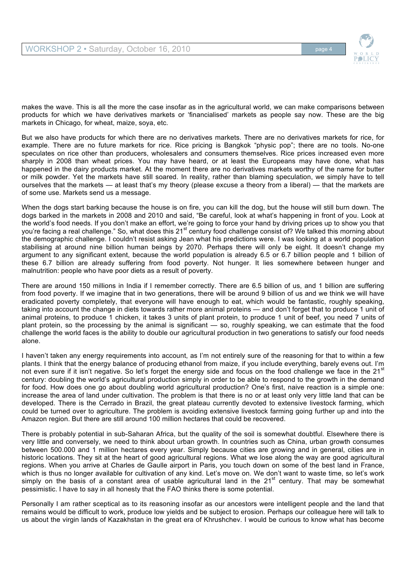

makes the wave. This is all the more the case insofar as in the agricultural world, we can make comparisons between products for which we have derivatives markets or 'financialised' markets as people say now. These are the big markets in Chicago, for wheat, maize, soya, etc.

But we also have products for which there are no derivatives markets. There are no derivatives markets for rice, for example. There are no future markets for rice. Rice pricing is Bangkok "physic pop"; there are no tools. No-one speculates on rice other than producers, wholesalers and consumers themselves. Rice prices increased even more sharply in 2008 than wheat prices. You may have heard, or at least the Europeans may have done, what has happened in the dairy products market. At the moment there are no derivatives markets worthy of the name for butter or milk powder. Yet the markets have still soared. In reality, rather than blaming speculation, we simply have to tell ourselves that the markets — at least that's my theory (please excuse a theory from a liberal) — that the markets are of some use. Markets send us a message.

When the dogs start barking because the house is on fire, you can kill the dog, but the house will still burn down. The dogs barked in the markets in 2008 and 2010 and said, "Be careful, look at what's happening in front of you. Look at the world's food needs. If you don't make an effort, we're going to force your hand by driving prices up to show you that you're facing a real challenge." So, what does this 21<sup>st</sup> century food challenge consist of? We talked this morning about the demographic challenge. I couldn't resist asking Jean what his predictions were. I was looking at a world population stabilising at around nine billion human beings by 2070. Perhaps there will only be eight. It doesn't change my argument to any significant extent, because the world population is already 6.5 or 6.7 billion people and 1 billion of these 6.7 billion are already suffering from food poverty. Not hunger. It lies somewhere between hunger and malnutrition: people who have poor diets as a result of poverty.

There are around 150 millions in India if I remember correctly. There are 6.5 billion of us, and 1 billion are suffering from food poverty. If we imagine that in two generations, there will be around 9 billion of us and we think we will have eradicated poverty completely, that everyone will have enough to eat, which would be fantastic, roughly speaking, taking into account the change in diets towards rather more animal proteins — and don't forget that to produce 1 unit of animal proteins, to produce 1 chicken, it takes 3 units of plant protein, to produce 1 unit of beef, you need 7 units of plant protein, so the processing by the animal is significant — so, roughly speaking, we can estimate that the food challenge the world faces is the ability to double our agricultural production in two generations to satisfy our food needs alone.

I haven't taken any energy requirements into account, as I'm not entirely sure of the reasoning for that to within a few plants. I think that the energy balance of producing ethanol from maize, if you include everything, barely evens out. I'm not even sure if it isn't negative. So let's forget the energy side and focus on the food challenge we face in the  $21<sup>st</sup>$ century: doubling the world's agricultural production simply in order to be able to respond to the growth in the demand for food. How does one go about doubling world agricultural production? One's first, naive reaction is a simple one: increase the area of land under cultivation. The problem is that there is no or at least only very little land that can be developed. There is the Cerrado in Brazil, the great plateau currently devoted to extensive livestock farming, which could be turned over to agriculture. The problem is avoiding extensive livestock farming going further up and into the Amazon region. But there are still around 100 million hectares that could be recovered.

There is probably potential in sub-Saharan Africa, but the quality of the soil is somewhat doubtful. Elsewhere there is very little and conversely, we need to think about urban growth. In countries such as China, urban growth consumes between 500.000 and 1 million hectares every year. Simply because cities are growing and in general, cities are in historic locations. They sit at the heart of good agricultural regions. What we lose along the way are good agricultural regions. When you arrive at Charles de Gaulle airport in Paris, you touch down on some of the best land in France, which is thus no longer available for cultivation of any kind. Let's move on. We don't want to waste time, so let's work simply on the basis of a constant area of usable agricultural land in the  $21<sup>st</sup>$  century. That may be somewhat pessimistic. I have to say in all honesty that the FAO thinks there is some potential.

Personally I am rather sceptical as to its reasoning insofar as our ancestors were intelligent people and the land that remains would be difficult to work, produce low yields and be subject to erosion. Perhaps our colleague here will talk to us about the virgin lands of Kazakhstan in the great era of Khrushchev. I would be curious to know what has become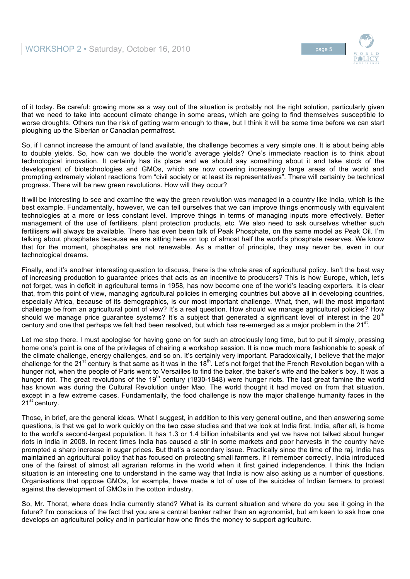

of it today. Be careful: growing more as a way out of the situation is probably not the right solution, particularly given that we need to take into account climate change in some areas, which are going to find themselves susceptible to worse droughts. Others run the risk of getting warm enough to thaw, but I think it will be some time before we can start ploughing up the Siberian or Canadian permafrost.

So, if I cannot increase the amount of land available, the challenge becomes a very simple one. It is about being able to double yields. So, how can we double the world's average yields? One's immediate reaction is to think about technological innovation. It certainly has its place and we should say something about it and take stock of the development of biotechnologies and GMOs, which are now covering increasingly large areas of the world and prompting extremely violent reactions from "civil society or at least its representatives". There will certainly be technical progress. There will be new green revolutions. How will they occur?

It will be interesting to see and examine the way the green revolution was managed in a country like India, which is the best example. Fundamentally, however, we can tell ourselves that we can improve things enormously with equivalent technologies at a more or less constant level. Improve things in terms of managing inputs more effectively. Better management of the use of fertilisers, plant protection products, etc. We also need to ask ourselves whether such fertilisers will always be available. There has even been talk of Peak Phosphate, on the same model as Peak Oil. I'm talking about phosphates because we are sitting here on top of almost half the world's phosphate reserves. We know that for the moment, phosphates are not renewable. As a matter of principle, they may never be, even in our technological dreams.

Finally, and it's another interesting question to discuss, there is the whole area of agricultural policy. Isn't the best way of increasing production to guarantee prices that acts as an incentive to producers? This is how Europe, which, let's not forget, was in deficit in agricultural terms in 1958, has now become one of the world's leading exporters. It is clear that, from this point of view, managing agricultural policies in emerging countries but above all in developing countries, especially Africa, because of its demographics, is our most important challenge. What, then, will the most important challenge be from an agricultural point of view? It's a real question. How should we manage agricultural policies? How should we manage price guarantee systems? It's a subject that generated a significant level of interest in the 20<sup>t</sup> century and one that perhaps we felt had been resolved, but which has re-emerged as a major problem in the  $21<sup>st</sup>$ .

Let me stop there. I must apologise for having gone on for such an atrociously long time, but to put it simply, pressing home one's point is one of the privileges of chairing a workshop session. It is now much more fashionable to speak of the climate challenge, energy challenges, and so on. It's certainly very important. Paradoxically, I believe that the major challenge for the  $21^{st}$  century is that same as it was in the  $18^{th}$ . Let's not forget that the French Revolution began with a hunger riot, when the people of Paris went to Versailles to find the baker, the baker's wife and the baker's boy. It was a hunger riot. The great revolutions of the 19<sup>th</sup> century (1830-1848) were hunger riots. The last great famine the world has known was during the Cultural Revolution under Mao. The world thought it had moved on from that situation, except in a few extreme cases. Fundamentally, the food challenge is now the major challenge humanity faces in the  $21<sup>st</sup>$  century.

Those, in brief, are the general ideas. What I suggest, in addition to this very general outline, and then answering some questions, is that we get to work quickly on the two case studies and that we look at India first. India, after all, is home to the world's second-largest population. It has 1.3 or 1.4 billion inhabitants and yet we have not talked about hunger riots in India in 2008. In recent times India has caused a stir in some markets and poor harvests in the country have prompted a sharp increase in sugar prices. But that's a secondary issue. Practically since the time of the raj, India has maintained an agricultural policy that has focused on protecting small farmers. If I remember correctly, India introduced one of the fairest of almost all agrarian reforms in the world when it first gained independence. I think the Indian situation is an interesting one to understand in the same way that India is now also asking us a number of questions. Organisations that oppose GMOs, for example, have made a lot of use of the suicides of Indian farmers to protest against the development of GMOs in the cotton industry.

So, Mr. Thorat, where does India currently stand? What is its current situation and where do you see it going in the future? I'm conscious of the fact that you are a central banker rather than an agronomist, but am keen to ask how one develops an agricultural policy and in particular how one finds the money to support agriculture.